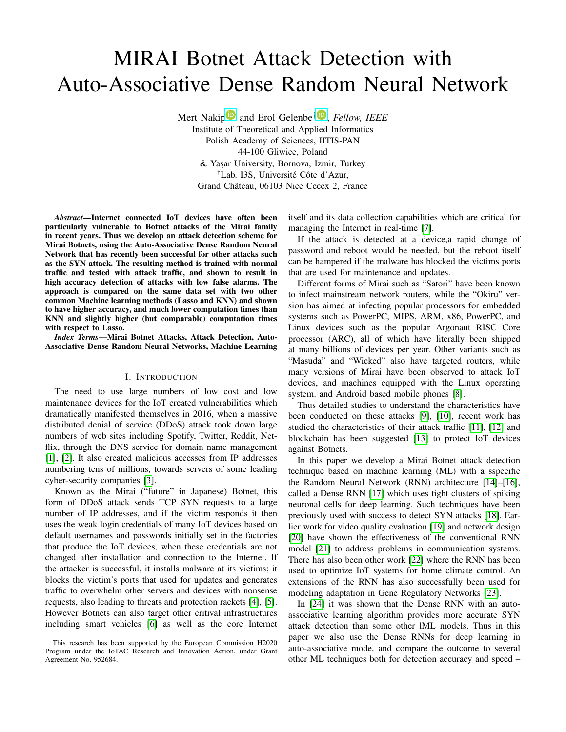# MIRAI Botnet Attack Detection with Auto-Associative Dense Random Neural Network

Mert Naki[p](https://orcid.org/0000-0002-6723-6494)<sup>1</sup> and Erol Gelenbe<sup>[†](https://orcid.org/0000-0001-9688-2201)</sup><sup>1</sup>, Fellow, IEEE Institute of Theoretical and Applied Informatics Polish Academy of Sciences, IITIS-PAN 44-100 Gliwice, Poland & Yaşar University, Bornova, Izmir, Turkey <sup>†</sup>Lab. I3S, Université Côte d'Azur, Grand Château, 06103 Nice Cecex 2, France

*Abstract*—Internet connected IoT devices have often been particularly vulnerable to Botnet attacks of the Mirai family in recent years. Thus we develop an attack detection scheme for Mirai Botnets, using the Auto-Associative Dense Random Neural Network that has recently been successful for other attacks such as the SYN attack. The resulting method is trained with normal traffic and tested with attack traffic, and shown to result in high accuracy detection of attacks with low false alarms. The approach is compared on the same data set with two other common Machine learning methods (Lasso and KNN) and shown to have higher accuracy, and much lower computation times than KNN and slightly higher (but comparable) computation times with respect to Lasso.

*Index Terms*—Mirai Botnet Attacks, Attack Detection, Auto-Associative Dense Random Neural Networks, Machine Learning

## I. INTRODUCTION

The need to use large numbers of low cost and low maintenance devices for the IoT created vulnerabilities which dramatically manifested themselves in 2016, when a massive distributed denial of service (DDoS) attack took down large numbers of web sites including Spotify, Twitter, Reddit, Netflix, through the DNS service for domain name management [\[1\]](#page-5-0), [\[2\]](#page-5-1). It also created malicious accesses from IP addresses numbering tens of millions, towards servers of some leading cyber-security companies [\[3\]](#page-5-2).

Known as the Mirai ("future" in Japanese) Botnet, this form of DDoS attack sends TCP SYN requests to a large number of IP addresses, and if the victim responds it then uses the weak login credentials of many IoT devices based on default usernames and passwords initially set in the factories that produce the IoT devices, when these credentials are not changed after installation and connection to the Internet. If the attacker is successful, it installs malware at its victims; it blocks the victim's ports that used for updates and generates traffic to overwhelm other servers and devices with nonsense requests, also leading to threats and protection rackets [\[4\]](#page-5-3), [\[5\]](#page-5-4). However Botnets can also target other critival infrastructures including smart vehicles [\[6\]](#page-5-5) as well as the core Internet itself and its data collection capabilities which are critical for managing the Internet in real-time [\[7\]](#page-5-6).

If the attack is detected at a device,a rapid change of password and reboot would be needed, but the reboot itself can be hampered if the malware has blocked the victims ports that are used for maintenance and updates.

Different forms of Mirai such as "Satori" have been known to infect mainstream network routers, while the "Okiru" version has aimed at infecting popular processors for embedded systems such as PowerPC, MIPS, ARM, x86, PowerPC, and Linux devices such as the popular Argonaut RISC Core processor (ARC), all of which have literally been shipped at many billions of devices per year. Other variants such as "Masuda" and "Wicked" also have targeted routers, while many versions of Mirai have been observed to attack IoT devices, and machines equipped with the Linux operating system. and Android based mobile phones [\[8\]](#page-5-7).

Thus detailed studies to understand the characteristics have been conducted on these attacks [\[9\]](#page-5-8), [\[10\]](#page-5-9), recent work has studied the characteristics of their attack traffic [\[11\]](#page-5-10), [\[12\]](#page-5-11) and blockchain has been suggested [\[13\]](#page-5-12) to protect IoT devices against Botnets.

In this paper we develop a Mirai Botnet attack detection technique based on machine learning (ML) with a sspecific the Random Neural Network (RNN) architecture [\[14\]](#page-5-13)–[\[16\]](#page-5-14), called a Dense RNN [\[17\]](#page-5-15) which uses tight clusters of spiking neuronal cells for deep learning. Such techniques have been previously used with success to detect SYN attacks [\[18\]](#page-5-16). Earlier work for video quality evaluation [\[19\]](#page-5-17) and network design [\[20\]](#page-5-18) have shown the effectiveness of the conventional RNN model [\[21\]](#page-5-19) to address problems in communication systems. There has also been other work [\[22\]](#page-5-20) where the RNN has been used to optimize IoT systems for home climate control. An extensions of the RNN has also successfully been used for modeling adaptation in Gene Regulatory Networks [\[23\]](#page-5-21).

In [\[24\]](#page-5-22) it was shown that the Dense RNN with an autoassociative learning algorithm provides more accurate SYN attack detection than some other lML models. Thus in this paper we also use the Dense RNNs for deep learning in auto-associative mode, and compare the outcome to several other ML techniques both for detection accuracy and speed –

This research has been supported by the European Commission H2020 Program under the IoTAC Research and Innovation Action, under Grant Agreement No. 952684.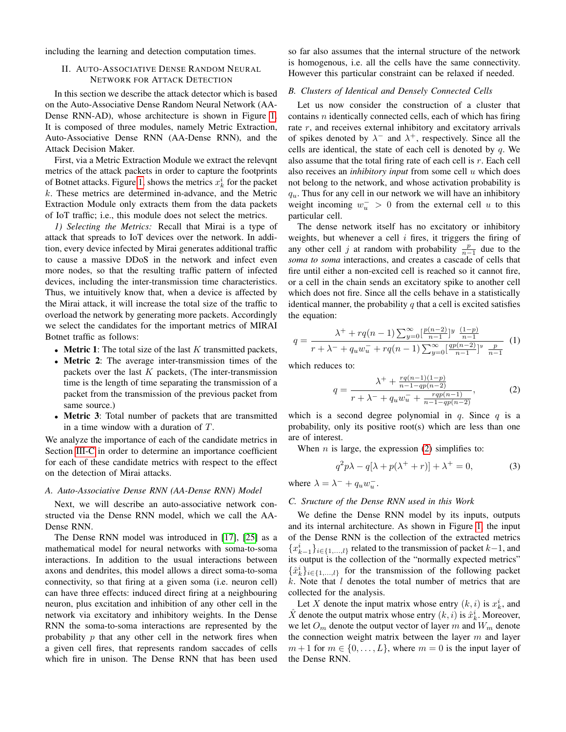including the learning and detection computation times.

## II. AUTO-ASSOCIATIVE DENSE RANDOM NEURAL NETWORK FOR ATTACK DETECTION

In this section we describe the attack detector which is based on the Auto-Associative Dense Random Neural Network (AA-Dense RNN-AD), whose architecture is shown in Figure [1.](#page-2-0) It is composed of three modules, namely Metric Extraction, Auto-Associative Dense RNN (AA-Dense RNN), and the Attack Decision Maker.

First, via a Metric Extraction Module we extract the relevqnt metrics of the attack packets in order to capture the footprints of Botnet attacks. Figure [1,](#page-2-0) shows the metrics  $x_k^i$  for the packet  $k$ . These metrics are determined in-advance, and the Metric Extraction Module only extracts them from the data packets of IoT traffic; i.e., this module does not select the metrics.

*1) Selecting the Metrics:* Recall that Mirai is a type of attack that spreads to IoT devices over the network. In addition, every device infected by Mirai generates additional traffic to cause a massive DDoS in the network and infect even more nodes, so that the resulting traffic pattern of infected devices, including the inter-transmission time characteristics. Thus, we intuitively know that, when a device is affected by the Mirai attack, it will increase the total size of the traffic to overload the network by generating more packets. Accordingly we select the candidates for the important metrics of MIRAI Botnet traffic as follows:

- Metric 1: The total size of the last  $K$  transmitted packets,
- Metric 2: The average inter-transmission times of the packets over the last  $K$  packets, (The inter-transmission time is the length of time separating the transmission of a packet from the transmission of the previous packet from same source.)
- Metric 3: Total number of packets that are transmitted in a time window with a duration of T.

We analyze the importance of each of the candidate metrics in Section [III-C](#page-3-0) in order to determine an importance coefficient for each of these candidate metrics with respect to the effect on the detection of Mirai attacks.

## *A. Auto-Associative Dense RNN (AA-Dense RNN) Model*

Next, we will describe an auto-associative network constructed via the Dense RNN model, which we call the AA-Dense RNN.

The Dense RNN model was introduced in [\[17\]](#page-5-15), [\[25\]](#page-5-23) as a mathematical model for neural networks with soma-to-soma interactions. In addition to the usual interactions between axons and dendrites, this model allows a direct soma-to-soma connectivity, so that firing at a given soma (i.e. neuron cell) can have three effects: induced direct firing at a neighbouring neuron, plus excitation and inhibition of any other cell in the network via excitatory and inhibitory weights. In the Dense RNN the soma-to-soma interactions are represented by the probability  $p$  that any other cell in the network fires when a given cell fires, that represents random saccades of cells which fire in unison. The Dense RNN that has been used

so far also assumes that the internal structure of the network is homogenous, i.e. all the cells have the same connectivity. However this particular constraint can be relaxed if needed.

#### *B. Clusters of Identical and Densely Connected Cells*

Let us now consider the construction of a cluster that contains  $n$  identically connected cells, each of which has firing rate  $r$ , and receives external inhibitory and excitatory arrivals of spikes denoted by  $\lambda^-$  and  $\lambda^+$ , respectively. Since all the cells are identical, the state of each cell is denoted by  $q$ . We also assume that the total firing rate of each cell is r. Each cell also receives an *inhibitory input* from some cell u which does not belong to the network, and whose activation probability is  $q_u$ . Thus for any cell in our network we will have an inhibitory weight incoming  $w_u^- > 0$  from the external cell u to this particular cell.

The dense network itself has no excitatory or inhibitory weights, but whenever a cell  $i$  fires, it triggers the firing of any other cell *j* at random with probability  $\frac{p}{n-1}$  due to the *soma to soma* interactions, and creates a cascade of cells that fire until either a non-excited cell is reached so it cannot fire, or a cell in the chain sends an excitatory spike to another cell which does not fire. Since all the cells behave in a statistically identical manner, the probability  $q$  that a cell is excited satisfies the equation:

$$
q = \frac{\lambda^+ + rq(n-1) \sum_{y=0}^{\infty} \left[\frac{p(n-2)}{n-1}\right] y \left(\frac{(1-p)}{n-1}\right]}{r + \lambda^- + q_u w_u^+ + rq(n-1) \sum_{y=0}^{\infty} \left[\frac{qp(n-2)}{n-1}\right] y \left(\frac{p}{n-1}\right)} \tag{1}
$$

which reduces to:

<span id="page-1-0"></span>
$$
q = \frac{\lambda^+ + \frac{rq(n-1)(1-p)}{n-1-qp(n-2)}}{r + \lambda^- + q_u w_u^- + \frac{rqp(n-1)}{n-1-qp(n-2)}},
$$
(2)

which is a second degree polynomial in  $q$ . Since  $q$  is a probability, only its positive root(s) which are less than one are of interest.

When  $n$  is large, the expression [\(2\)](#page-1-0) simplifies to:

$$
q^2p\lambda - q[\lambda + p(\lambda^+ + r)] + \lambda^+ = 0,\tag{3}
$$

where  $\lambda = \lambda^- + q_u w_u^-$ .

## *C. Sructure of the Dense RNN used in this Work*

We define the Dense RNN model by its inputs, outputs and its internal architecture. As shown in Figure [1,](#page-2-0) the input of the Dense RNN is the collection of the extracted metrics { $x_{k-1}^i$ }<sub>*i*∈{1,...,*l*}</sub> related to the transmission of packet *k*−1, and its output is the collection of the "normally expected metrics"  $\{\hat{x}_{k}^{i}\}_{i\in\{1,\ldots,l\}}$  for the transmission of the following packet  $k$ . Note that  $l$  denotes the total number of metrics that are collected for the analysis.

Let X denote the input matrix whose entry  $(k, i)$  is  $x_k^i$ , and  $\hat{X}$  denote the output matrix whose entry  $(k, i)$  is  $\hat{x}_k^i$ . Moreover, we let  $O_m$  denote the output vector of layer m and  $W_m$  denote the connection weight matrix between the layer  $m$  and layer  $m+1$  for  $m \in \{0, \ldots, L\}$ , where  $m = 0$  is the input layer of the Dense RNN.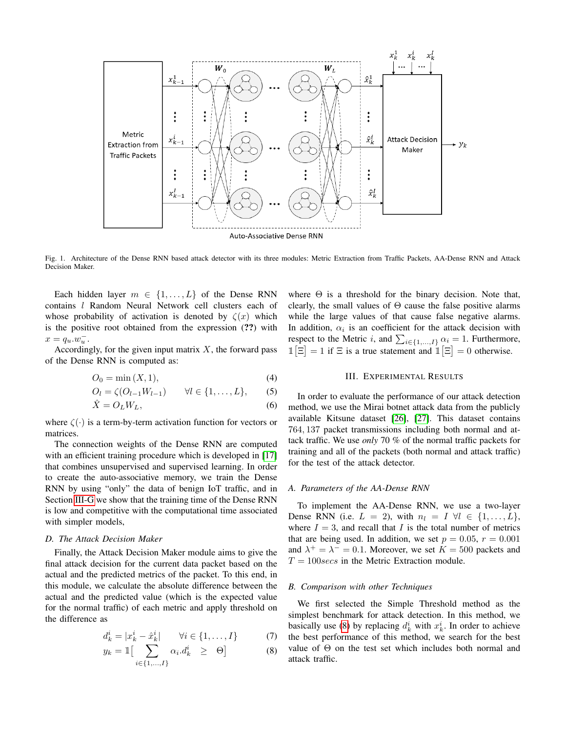

<span id="page-2-0"></span>Fig. 1. Architecture of the Dense RNN based attack detector with its three modules: Metric Extraction from Traffic Packets, AA-Dense RNN and Attack Decision Maker.

Each hidden layer  $m \in \{1, \ldots, L\}$  of the Dense RNN contains *l* Random Neural Network cell clusters each of whose probability of activation is denoted by  $\zeta(x)$  which is the positive root obtained from the expression (??) with  $x = q_u.w_u^-$ .

Accordingly, for the given input matrix  $X$ , the forward pass of the Dense RNN is computed as:

$$
O_0 = \min(X, 1),\tag{4}
$$

$$
O_l = \zeta(O_{l-1}W_{l-1}) \qquad \forall l \in \{1, ..., L\}, \qquad (5)
$$

$$
\hat{X} = O_L W_L,\tag{6}
$$

where  $\zeta(\cdot)$  is a term-by-term activation function for vectors or matrices.

The connection weights of the Dense RNN are computed with an efficient training procedure which is developed in [\[17\]](#page-5-15) that combines unsupervised and supervised learning. In order to create the auto-associative memory, we train the Dense RNN by using "only" the data of benign IoT traffic, and in Section [III-G](#page-4-0) we show that the training time of the Dense RNN is low and competitive with the computational time associated with simpler models,

#### *D. The Attack Decision Maker*

Finally, the Attack Decision Maker module aims to give the final attack decision for the current data packet based on the actual and the predicted metrics of the packet. To this end, in this module, we calculate the absolute difference between the actual and the predicted value (which is the expected value for the normal traffic) of each metric and apply threshold on the difference as

<span id="page-2-1"></span>
$$
d_k^i = |x_k^i - \hat{x}_k^i| \qquad \forall i \in \{1, \dots, I\}
$$
 (7)

$$
y_k = \mathbb{1}\left[\sum_{i \in \{1, \dots, I\}} \alpha_i \cdot d_k^i \geq \Theta\right]
$$
 (8)

where  $\Theta$  is a threshold for the binary decision. Note that, clearly, the small values of  $\Theta$  cause the false positive alarms while the large values of that cause false negative alarms. In addition,  $\alpha_i$  is an coefficient for the attack decision with respect to the Metric *i*, and  $\sum_{i \in \{1,...,I\}} \alpha_i = 1$ . Furthermore,  $\mathbb{1}[\Xi]=1$  if  $\Xi$  is a true statement and  $\mathbb{1}[\Xi]=0$  otherwise.

#### III. EXPERIMENTAL RESULTS

In order to evaluate the performance of our attack detection method, we use the Mirai botnet attack data from the publicly available Kitsune dataset [\[26\]](#page-5-24), [\[27\]](#page-5-25). This dataset contains 764, 137 packet transmissions including both normal and attack traffic. We use *only* 70 % of the normal traffic packets for training and all of the packets (both normal and attack traffic) for the test of the attack detector.

## *A. Parameters of the AA-Dense RNN*

To implement the AA-Dense RNN, we use a two-layer Dense RNN (i.e.  $L = 2$ ), with  $n_l = I \ \forall l \in \{1, \ldots, L\},\$ where  $I = 3$ , and recall that I is the total number of metrics that are being used. In addition, we set  $p = 0.05$ ,  $r = 0.001$ and  $\lambda^+ = \lambda^- = 0.1$ . Moreover, we set  $K = 500$  packets and  $T = 100$ secs in the Metric Extraction module.

#### *B. Comparison with other Techniques*

We first selected the Simple Threshold method as the simplest benchmark for attack detection. In this method, we basically use [\(8\)](#page-2-1) by replacing  $d_k^i$  with  $x_k^i$ . In order to achieve the best performance of this method, we search for the best value of  $\Theta$  on the test set which includes both normal and attack traffic.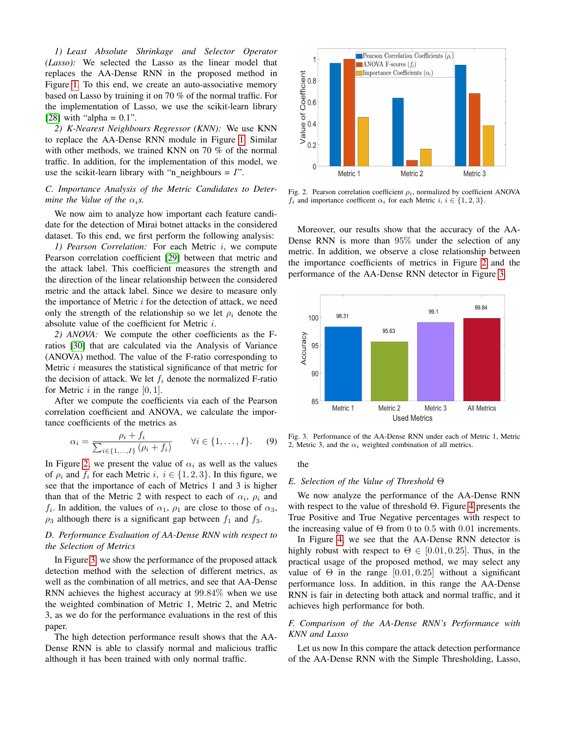*1) Least Absolute Shrinkage and Selector Operator (Lasso):* We selected the Lasso as the linear model that replaces the AA-Dense RNN in the proposed method in Figure [1.](#page-2-0) To this end, we create an auto-associative memory based on Lasso by training it on 70 % of the normal traffic. For the implementation of Lasso, we use the scikit-learn library [\[28\]](#page-5-26) with "alpha =  $0.1$ ".

*2) K-Nearest Neighbours Regressor (KNN):* We use KNN to replace the AA-Dense RNN module in Figure [1.](#page-2-0) Similar with other methods, we trained KNN on 70 % of the normal traffic. In addition, for the implementation of this model, we use the scikit-learn library with "n\_neighbours  $= I$ ".

# <span id="page-3-0"></span>*C. Importance Analysis of the Metric Candidates to Determine the Value of the*  $\alpha_i$ *s.*

We now aim to analyze how important each feature candidate for the detection of Mirai botnet attacks in the considered dataset. To this end, we first perform the following analysis:

*1) Pearson Correlation:* For each Metric i, we compute Pearson correlation coefficient [\[29\]](#page-5-27) between that metric and the attack label. This coefficient measures the strength and the direction of the linear relationship between the considered metric and the attack label. Since we desire to measure only the importance of Metric  $i$  for the detection of attack, we need only the strength of the relationship so we let  $\rho_i$  denote the absolute value of the coefficient for Metric i.

*2) ANOVA:* We compute the other coefficients as the Fratios [\[30\]](#page-5-28) that are calculated via the Analysis of Variance (ANOVA) method. The value of the F-ratio corresponding to Metric i measures the statistical significance of that metric for the decision of attack. We let  $f_i$  denote the normalized F-ratio for Metric  $i$  in the range  $[0, 1]$ .

After we compute the coefficients via each of the Pearson correlation coefficient and ANOVA, we calculate the importance coefficients of the metrics as

$$
\alpha_i = \frac{\rho_i + f_i}{\sum_{i \in \{1, \dots, I\}} (\rho_i + f_i)} \qquad \forall i \in \{1, \dots, I\}.
$$
 (9)

In Figure [2,](#page-3-1) we present the value of  $\alpha_i$  as well as the values of  $\rho_i$  and  $f_i$  for each Metric i,  $i \in \{1,2,3\}$ . In this figure, we see that the importance of each of Metrics 1 and 3 is higher than that of the Metric 2 with respect to each of  $\alpha_i$ ,  $\rho_i$  and  $f_i$ . In addition, the values of  $\alpha_1$ ,  $\rho_1$  are close to those of  $\alpha_3$ ,  $\rho_3$  although there is a significant gap between  $f_1$  and  $f_3$ .

## *D. Performance Evaluation of AA-Dense RNN with respect to the Selection of Metrics*

In Figure [3,](#page-3-2) we show the performance of the proposed attack detection method with the selection of different metrics, as well as the combination of all metrics, and see that AA-Dense RNN achieves the highest accuracy at 99.84% when we use the weighted combination of Metric 1, Metric 2, and Metric 3, as we do for the performance evaluations in the rest of this paper.

The high detection performance result shows that the AA-Dense RNN is able to classify normal and malicious traffic although it has been trained with only normal traffic.



<span id="page-3-1"></span>Fig. 2. Pearson correlation coefficient  $\rho_i$ , normalized by coefficient ANOVA  $f_i$  and importance coefficent  $\alpha_i$  for each Metric  $i, i \in \{1, 2, 3\}.$ 

Moreover, our results show that the accuracy of the AA-Dense RNN is more than 95% under the selection of any metric. In addition, we observe a close relationship between the importance coefficients of metrics in Figure [2](#page-3-1) and the performance of the AA-Dense RNN detector in Figure [3.](#page-3-2)



<span id="page-3-2"></span>Fig. 3. Performance of the AA-Dense RNN under each of Metric 1, Metric 2, Metric 3, and the  $\alpha_i$  weighted combination of all metrics.

the

#### *E. Selection of the Value of Threshold* Θ

We now analyze the performance of the AA-Dense RNN with respect to the value of threshold  $\Theta$ . Figure [4](#page-4-1) presents the True Positive and True Negative percentages with respect to the increasing value of  $\Theta$  from 0 to 0.5 with 0.01 increments.

In Figure [4,](#page-4-1) we see that the AA-Dense RNN detector is highly robust with respect to  $\Theta \in [0.01, 0.25]$ . Thus, in the practical usage of the proposed method, we may select any value of  $\Theta$  in the range [0.01, 0.25] without a significant performance loss. In addition, in this range the AA-Dense RNN is fair in detecting both attack and normal traffic, and it achieves high performance for both.

## *F. Comparison of the AA-Dense RNN's Performance with KNN and Lasso*

Let us now In this compare the attack detection performance of the AA-Dense RNN with the Simple Thresholding, Lasso,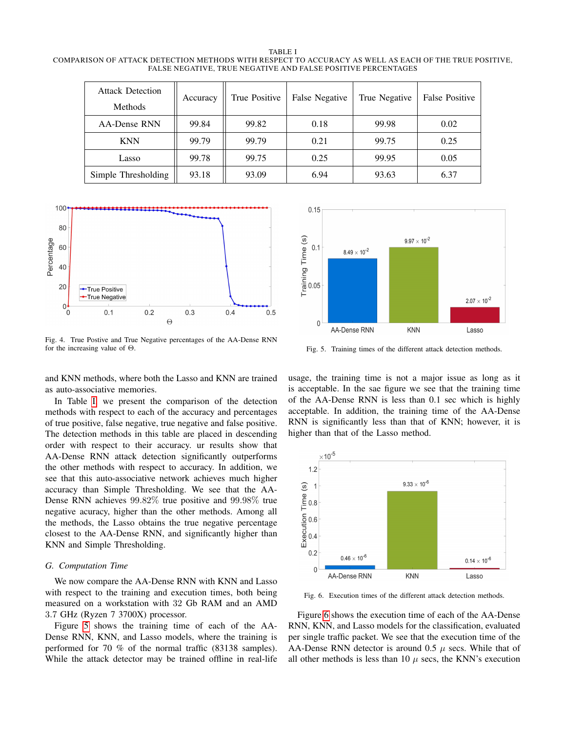<span id="page-4-2"></span>TABLE I COMPARISON OF ATTACK DETECTION METHODS WITH RESPECT TO ACCURACY AS WELL AS EACH OF THE TRUE POSITIVE, FALSE NEGATIVE, TRUE NEGATIVE AND FALSE POSITIVE PERCENTAGES

| <b>Attack Detection</b> | Accuracy | True Positive | False Negative | True Negative | <b>False Positive</b> |
|-------------------------|----------|---------------|----------------|---------------|-----------------------|
| <b>Methods</b>          |          |               |                |               |                       |
| AA-Dense RNN            | 99.84    | 99.82         | 0.18           | 99.98         | 0.02                  |
| <b>KNN</b>              | 99.79    | 99.79         | 0.21           | 99.75         | 0.25                  |
| Lasso                   | 99.78    | 99.75         | 0.25           | 99.95         | 0.05                  |
| Simple Thresholding     | 93.18    | 93.09         | 6.94           | 93.63         | 6.37                  |



<span id="page-4-1"></span>Fig. 4. True Postive and True Negative percentages of the AA-Dense RNN for the increasing value of Θ.

and KNN methods, where both the Lasso and KNN are trained as auto-associative memories.

In Table [I,](#page-4-2) we present the comparison of the detection methods with respect to each of the accuracy and percentages of true positive, false negative, true negative and false positive. The detection methods in this table are placed in descending order with respect to their accuracy. ur results show that AA-Dense RNN attack detection significantly outperforms the other methods with respect to accuracy. In addition, we see that this auto-associative network achieves much higher accuracy than Simple Thresholding. We see that the AA-Dense RNN achieves 99.82% true positive and 99.98% true negative acuracy, higher than the other methods. Among all the methods, the Lasso obtains the true negative percentage closest to the AA-Dense RNN, and significantly higher than KNN and Simple Thresholding.

#### <span id="page-4-0"></span>*G. Computation Time*

We now compare the AA-Dense RNN with KNN and Lasso with respect to the training and execution times, both being measured on a workstation with 32 Gb RAM and an AMD 3.7 GHz (Ryzen 7 3700X) processor.

Figure [5](#page-4-3) shows the training time of each of the AA-Dense RNN, KNN, and Lasso models, where the training is performed for 70 % of the normal traffic (83138 samples). While the attack detector may be trained offline in real-life



<span id="page-4-3"></span>Fig. 5. Training times of the different attack detection methods.

usage, the training time is not a major issue as long as it is acceptable. In the sae figure we see that the training time of the AA-Dense RNN is less than 0.1 sec which is highly acceptable. In addition, the training time of the AA-Dense RNN is significantly less than that of KNN; however, it is higher than that of the Lasso method.



<span id="page-4-4"></span>Fig. 6. Execution times of the different attack detection methods.

Figure [6](#page-4-4) shows the execution time of each of the AA-Dense RNN, KNN, and Lasso models for the classification, evaluated per single traffic packet. We see that the execution time of the AA-Dense RNN detector is around 0.5  $\mu$  secs. While that of all other methods is less than 10  $\mu$  secs, the KNN's execution